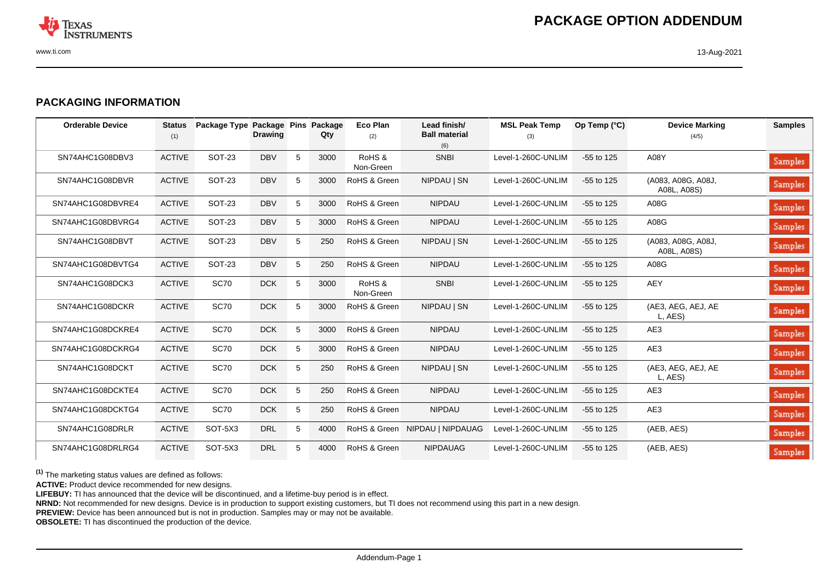

## **PACKAGING INFORMATION**

| <b>Orderable Device</b> | <b>Status</b><br>(1) | Package Type Package Pins | <b>Drawing</b> |   | Package<br>Qty | Eco Plan<br>(2)     | Lead finish/<br><b>Ball material</b><br>(6) | <b>MSL Peak Temp</b><br>(3) | Op Temp (°C) | <b>Device Marking</b><br>(4/5)    | <b>Samples</b> |
|-------------------------|----------------------|---------------------------|----------------|---|----------------|---------------------|---------------------------------------------|-----------------------------|--------------|-----------------------------------|----------------|
| SN74AHC1G08DBV3         | <b>ACTIVE</b>        | <b>SOT-23</b>             | <b>DBV</b>     | 5 | 3000           | RoHS &<br>Non-Green | <b>SNBI</b>                                 | Level-1-260C-UNLIM          | $-55$ to 125 | A08Y                              | Samples        |
| SN74AHC1G08DBVR         | <b>ACTIVE</b>        | <b>SOT-23</b>             | <b>DBV</b>     | 5 | 3000           | RoHS & Green        | NIPDAU   SN                                 | Level-1-260C-UNLIM          | $-55$ to 125 | (A083, A08G, A08J,<br>A08L, A08S) | Samples        |
| SN74AHC1G08DBVRE4       | <b>ACTIVE</b>        | <b>SOT-23</b>             | <b>DBV</b>     | 5 | 3000           | RoHS & Green        | <b>NIPDAU</b>                               | Level-1-260C-UNLIM          | $-55$ to 125 | A08G                              | Samples        |
| SN74AHC1G08DBVRG4       | <b>ACTIVE</b>        | <b>SOT-23</b>             | <b>DBV</b>     | 5 | 3000           | RoHS & Green        | <b>NIPDAU</b>                               | Level-1-260C-UNLIM          | $-55$ to 125 | A08G                              | Samples        |
| SN74AHC1G08DBVT         | <b>ACTIVE</b>        | <b>SOT-23</b>             | <b>DBV</b>     | 5 | 250            | RoHS & Green        | NIPDAU   SN                                 | Level-1-260C-UNLIM          | $-55$ to 125 | (A083, A08G, A08J,<br>A08L, A08S) | Samples        |
| SN74AHC1G08DBVTG4       | <b>ACTIVE</b>        | <b>SOT-23</b>             | <b>DBV</b>     | 5 | 250            | RoHS & Green        | <b>NIPDAU</b>                               | Level-1-260C-UNLIM          | $-55$ to 125 | A08G                              | Samples        |
| SN74AHC1G08DCK3         | <b>ACTIVE</b>        | <b>SC70</b>               | <b>DCK</b>     | 5 | 3000           | RoHS &<br>Non-Green | <b>SNBI</b>                                 | Level-1-260C-UNLIM          | $-55$ to 125 | <b>AEY</b>                        | Samples        |
| SN74AHC1G08DCKR         | <b>ACTIVE</b>        | <b>SC70</b>               | <b>DCK</b>     | 5 | 3000           | RoHS & Green        | NIPDAU   SN                                 | Level-1-260C-UNLIM          | $-55$ to 125 | (AE3, AEG, AEJ, AE<br>L, AES)     | Samples        |
| SN74AHC1G08DCKRE4       | <b>ACTIVE</b>        | <b>SC70</b>               | <b>DCK</b>     | 5 | 3000           | RoHS & Green        | <b>NIPDAU</b>                               | Level-1-260C-UNLIM          | $-55$ to 125 | AE3                               | Samples        |
| SN74AHC1G08DCKRG4       | <b>ACTIVE</b>        | <b>SC70</b>               | <b>DCK</b>     | 5 | 3000           | RoHS & Green        | <b>NIPDAU</b>                               | Level-1-260C-UNLIM          | $-55$ to 125 | AE3                               | Samples        |
| SN74AHC1G08DCKT         | <b>ACTIVE</b>        | <b>SC70</b>               | <b>DCK</b>     | 5 | 250            | RoHS & Green        | NIPDAU   SN                                 | Level-1-260C-UNLIM          | $-55$ to 125 | (AE3, AEG, AEJ, AE<br>L, AES)     | Samples        |
| SN74AHC1G08DCKTE4       | <b>ACTIVE</b>        | <b>SC70</b>               | <b>DCK</b>     | 5 | 250            | RoHS & Green        | <b>NIPDAU</b>                               | Level-1-260C-UNLIM          | $-55$ to 125 | AE3                               | Samples        |
| SN74AHC1G08DCKTG4       | <b>ACTIVE</b>        | <b>SC70</b>               | <b>DCK</b>     | 5 | 250            | RoHS & Green        | <b>NIPDAU</b>                               | Level-1-260C-UNLIM          | $-55$ to 125 | AE3                               | Samples        |
| SN74AHC1G08DRLR         | <b>ACTIVE</b>        | SOT-5X3                   | DRL            | 5 | 4000           |                     | RoHS & Green NIPDAU   NIPDAUAG              | Level-1-260C-UNLIM          | $-55$ to 125 | (AEB, AES)                        | Samples        |
| SN74AHC1G08DRLRG4       | <b>ACTIVE</b>        | SOT-5X3                   | <b>DRL</b>     | 5 | 4000           | RoHS & Green        | <b>NIPDAUAG</b>                             | Level-1-260C-UNLIM          | $-55$ to 125 | (AEB, AES)                        | Samples        |

**(1)** The marketing status values are defined as follows:

**ACTIVE:** Product device recommended for new designs.

LIFEBUY: TI has announced that the device will be discontinued, and a lifetime-buy period is in effect.

**NRND:** Not recommended for new designs. Device is in production to support existing customers, but TI does not recommend using this part in a new design.

**PREVIEW:** Device has been announced but is not in production. Samples may or may not be available.

**OBSOLETE:** TI has discontinued the production of the device.